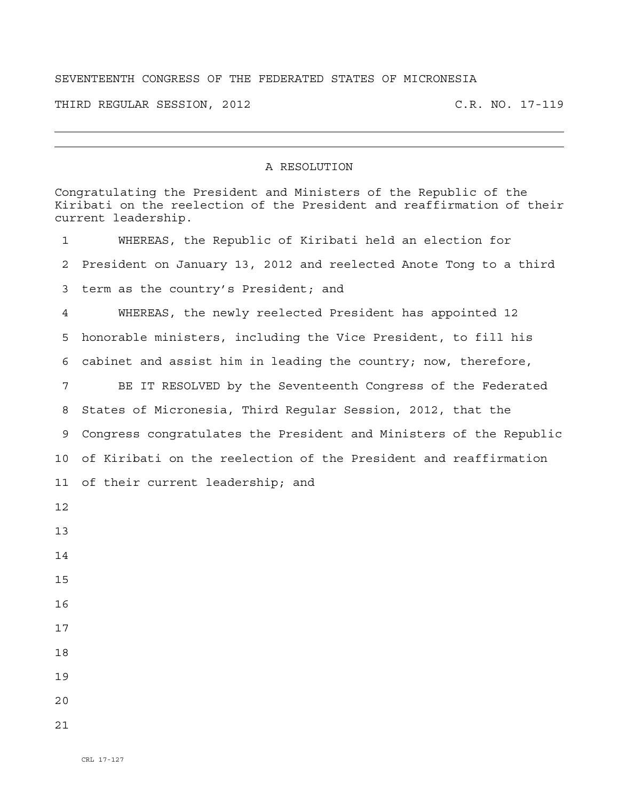## SEVENTEENTH CONGRESS OF THE FEDERATED STATES OF MICRONESIA

THIRD REGULAR SESSION, 2012 C.R. NO. 17-119

## A RESOLUTION

|             | Congratulating the President and Ministers of the Republic of the<br>Kiribati on the reelection of the President and reaffirmation of their<br>current leadership. |
|-------------|--------------------------------------------------------------------------------------------------------------------------------------------------------------------|
| $\mathbf 1$ | WHEREAS, the Republic of Kiribati held an election for                                                                                                             |
| 2           | President on January 13, 2012 and reelected Anote Tong to a third                                                                                                  |
| 3           | term as the country's President; and                                                                                                                               |
| 4           | WHEREAS, the newly reelected President has appointed 12                                                                                                            |
| 5           | honorable ministers, including the Vice President, to fill his                                                                                                     |
| 6           | cabinet and assist him in leading the country; now, therefore,                                                                                                     |
| 7           | BE IT RESOLVED by the Seventeenth Congress of the Federated                                                                                                        |
| 8           | States of Micronesia, Third Reqular Session, 2012, that the                                                                                                        |
| 9           | Congress congratulates the President and Ministers of the Republic                                                                                                 |
| 10          | of Kiribati on the reelection of the President and reaffirmation                                                                                                   |
| 11          | of their current leadership; and                                                                                                                                   |
| 12          |                                                                                                                                                                    |
| 13          |                                                                                                                                                                    |
| 14          |                                                                                                                                                                    |
| 15          |                                                                                                                                                                    |
| 16          |                                                                                                                                                                    |
| 17          |                                                                                                                                                                    |
| 18          |                                                                                                                                                                    |
| 19          |                                                                                                                                                                    |
| 20          |                                                                                                                                                                    |
| 21          |                                                                                                                                                                    |